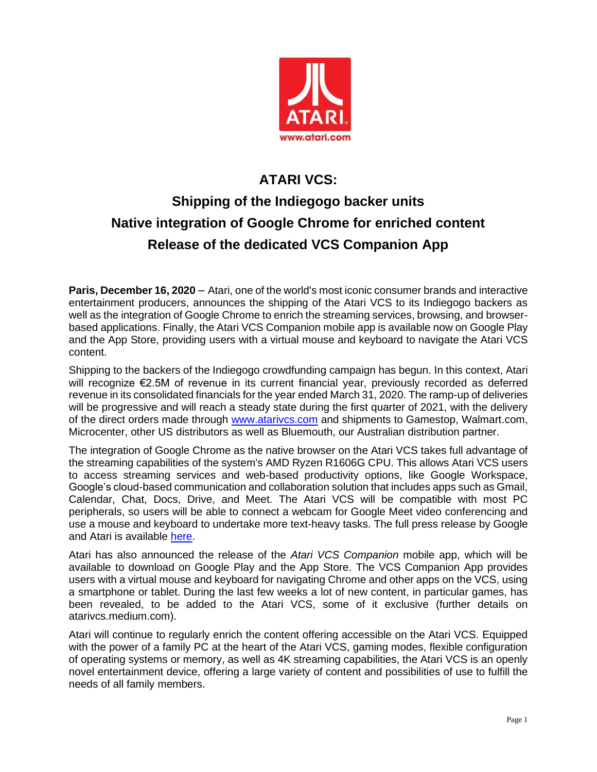

## **ATARI VCS: Shipping of the Indiegogo backer units Native integration of Google Chrome for enriched content Release of the dedicated VCS Companion App**

**Paris, December 16, 2020** – Atari, one of the world's most iconic consumer brands and interactive entertainment producers, announces the shipping of the Atari VCS to its Indiegogo backers as well as the integration of Google Chrome to enrich the streaming services, browsing, and browserbased applications. Finally, the Atari VCS Companion mobile app is available now on Google Play and the App Store, providing users with a virtual mouse and keyboard to navigate the Atari VCS content.

Shipping to the backers of the Indiegogo crowdfunding campaign has begun. In this context, Atari will recognize €2.5M of revenue in its current financial year, previously recorded as deferred revenue in its consolidated financials for the year ended March 31, 2020. The ramp-up of deliveries will be progressive and will reach a steady state during the first quarter of 2021, with the delivery of the direct orders made through [www.atarivcs.com](http://www.atarivcs.com/) and shipments to Gamestop, Walmart.com, Microcenter, other US distributors as well as Bluemouth, our Australian distribution partner.

The integration of Google Chrome as the native browser on the Atari VCS takes full advantage of the streaming capabilities of the system's AMD Ryzen R1606G CPU. This allows Atari VCS users to access streaming services and web-based productivity options, like Google Workspace, Google's cloud-based communication and collaboration solution that includes apps such as Gmail, Calendar, Chat, Docs, Drive, and Meet. The Atari VCS will be compatible with most PC peripherals, so users will be able to connect a webcam for Google Meet video conferencing and use a mouse and keyboard to undertake more text-heavy tasks. The full press release by Google and Atari is available [here.](https://www.accesswire.com/621041/Atari-Announces-Google-Chrome-as-Atari-VCS-Built-In-Browser-to-Enable-Streaming-Services-Web-Browsing-and-Web-based-Productivity)

Atari has also announced the release of the *Atari VCS Companion* mobile app, which will be available to download on Google Play and the App Store. The VCS Companion App provides users with a virtual mouse and keyboard for navigating Chrome and other apps on the VCS, using a smartphone or tablet. During the last few weeks a lot of new content, in particular games, has been revealed, to be added to the Atari VCS, some of it exclusive (further details on atarivcs.medium.com).

Atari will continue to regularly enrich the content offering accessible on the Atari VCS. Equipped with the power of a family PC at the heart of the Atari VCS, gaming modes, flexible configuration of operating systems or memory, as well as 4K streaming capabilities, the Atari VCS is an openly novel entertainment device, offering a large variety of content and possibilities of use to fulfill the needs of all family members.